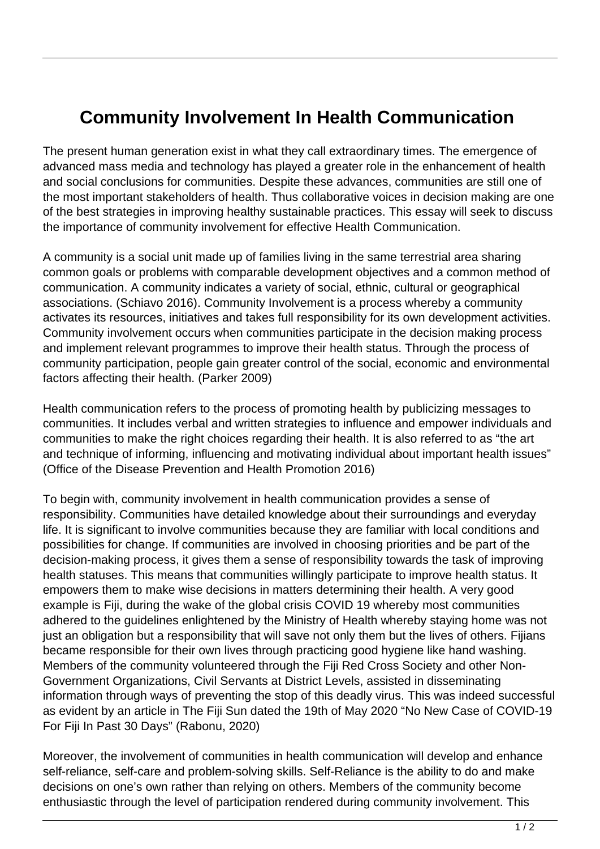## **Community Involvement In Health Communication**

The present human generation exist in what they call extraordinary times. The emergence of advanced mass media and technology has played a greater role in the enhancement of health and social conclusions for communities. Despite these advances, communities are still one of the most important stakeholders of health. Thus collaborative voices in decision making are one of the best strategies in improving healthy sustainable practices. This essay will seek to discuss the importance of community involvement for effective Health Communication.

A community is a social unit made up of families living in the same terrestrial area sharing common goals or problems with comparable development objectives and a common method of communication. A community indicates a variety of social, ethnic, cultural or geographical associations. (Schiavo 2016). Community Involvement is a process whereby a community activates its resources, initiatives and takes full responsibility for its own development activities. Community involvement occurs when communities participate in the decision making process and implement relevant programmes to improve their health status. Through the process of community participation, people gain greater control of the social, economic and environmental factors affecting their health. (Parker 2009)

Health communication refers to the process of promoting health by publicizing messages to communities. It includes verbal and written strategies to influence and empower individuals and communities to make the right choices regarding their health. It is also referred to as "the art and technique of informing, influencing and motivating individual about important health issues" (Office of the Disease Prevention and Health Promotion 2016)

To begin with, community involvement in health communication provides a sense of responsibility. Communities have detailed knowledge about their surroundings and everyday life. It is significant to involve communities because they are familiar with local conditions and possibilities for change. If communities are involved in choosing priorities and be part of the decision-making process, it gives them a sense of responsibility towards the task of improving health statuses. This means that communities willingly participate to improve health status. It empowers them to make wise decisions in matters determining their health. A very good example is Fiji, during the wake of the global crisis COVID 19 whereby most communities adhered to the guidelines enlightened by the Ministry of Health whereby staying home was not just an obligation but a responsibility that will save not only them but the lives of others. Fijians became responsible for their own lives through practicing good hygiene like hand washing. Members of the community volunteered through the Fiji Red Cross Society and other Non-Government Organizations, Civil Servants at District Levels, assisted in disseminating information through ways of preventing the stop of this deadly virus. This was indeed successful as evident by an article in The Fiji Sun dated the 19th of May 2020 "No New Case of COVID-19 For Fiji In Past 30 Days" (Rabonu, 2020)

Moreover, the involvement of communities in health communication will develop and enhance self-reliance, self-care and problem-solving skills. Self-Reliance is the ability to do and make decisions on one's own rather than relying on others. Members of the community become enthusiastic through the level of participation rendered during community involvement. This